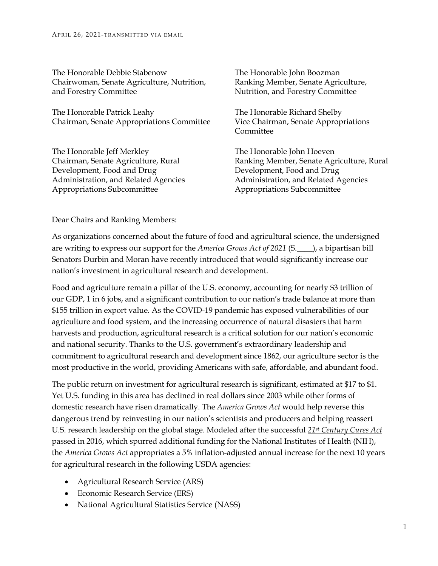The Honorable Debbie Stabenow Chairwoman, Senate Agriculture, Nutrition, and Forestry Committee

The Honorable Patrick Leahy Chairman, Senate Appropriations Committee

The Honorable Jeff Merkley Chairman, Senate Agriculture, Rural Development, Food and Drug Administration, and Related Agencies Appropriations Subcommittee

The Honorable John Boozman Ranking Member, Senate Agriculture, Nutrition, and Forestry Committee

The Honorable Richard Shelby Vice Chairman, Senate Appropriations **Committee** 

The Honorable John Hoeven Ranking Member, Senate Agriculture, Rural Development, Food and Drug Administration, and Related Agencies Appropriations Subcommittee

## Dear Chairs and Ranking Members:

As organizations concerned about the future of food and agricultural science, the undersigned are writing to express our support for the *America Grows Act of 2021* (S.\_\_\_\_), a bipartisan bill Senators Durbin and Moran have recently introduced that would significantly increase our nation's investment in agricultural research and development.

Food and agriculture remain a pillar of the U.S. economy, accounting for nearly \$3 trillion of our GDP, 1 in 6 jobs, and a significant contribution to our nation's trade balance at more than \$155 trillion in export value. As the COVID-19 pandemic has exposed vulnerabilities of our agriculture and food system, and the increasing occurrence of natural disasters that harm harvests and production, agricultural research is a critical solution for our nation's economic and national security. Thanks to the U.S. government's extraordinary leadership and commitment to agricultural research and development since 1862, our agriculture sector is the most productive in the world, providing Americans with safe, affordable, and abundant food.

The public return on investment for agricultural research is significant, estimated at \$17 to \$1. Yet U.S. funding in this area has declined in real dollars since 2003 while other forms of domestic research have risen dramatically. The *America Grows Act* would help reverse this dangerous trend by reinvesting in our nation's scientists and producers and helping reassert U.S. research leadership on the global stage. Modeled after the successful *21st Century Cures Act* passed in 2016, which spurred additional funding for the National Institutes of Health (NIH), the *America Grows Act* appropriates a 5% inflation-adjusted annual increase for the next 10 years for agricultural research in the following USDA agencies:

- Agricultural Research Service (ARS)
- Economic Research Service (ERS)
- National Agricultural Statistics Service (NASS)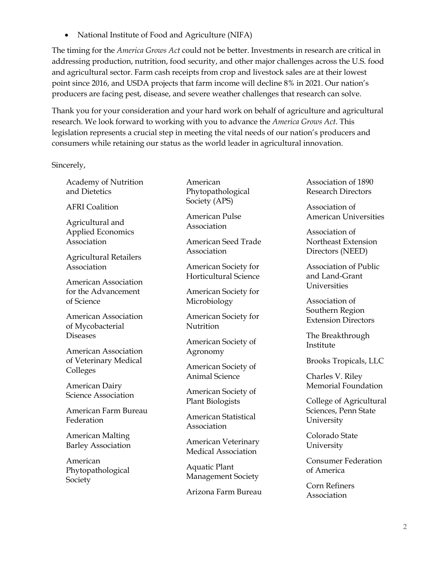• National Institute of Food and Agriculture (NIFA)

The timing for the *America Grows Act* could not be better. Investments in research are critical in addressing production, nutrition, food security, and other major challenges across the U.S. food and agricultural sector. Farm cash receipts from crop and livestock sales are at their lowest point since 2016, and USDA projects that farm income will decline 8% in 2021. Our nation's producers are facing pest, disease, and severe weather challenges that research can solve.

Thank you for your consideration and your hard work on behalf of agriculture and agricultural research. We look forward to working with you to advance the *America Grows Act*. This legislation represents a crucial step in meeting the vital needs of our nation's producers and consumers while retaining our status as the world leader in agricultural innovation.

Sincerely,

Academy of Nutrition and Dietetics

AFRI Coalition

Agricultural and Applied Economics Association

Agricultural Retailers Association

American Association for the Advancement of Science

American Association of Mycobacterial Diseases

American Association of Veterinary Medical Colleges

American Dairy Science Association

American Farm Bureau Federation

American Malting Barley Association

American Phytopathological Society

American Phytopathological Society (APS)

American Pulse Association

American Seed Trade Association

American Society for Horticultural Science

American Society for Microbiology

American Society for **Nutrition** 

American Society of Agronomy

American Society of Animal Science

American Society of Plant Biologists

American Statistical Association

American Veterinary Medical Association

Aquatic Plant Management Society

Arizona Farm Bureau

Association of 1890 Research Directors

Association of American Universities

Association of Northeast Extension Directors (NEED)

Association of Public and Land-Grant **Universities** 

Association of Southern Region Extension Directors

The Breakthrough Institute

Brooks Tropicals, LLC

Charles V. Riley Memorial Foundation

College of Agricultural Sciences, Penn State University

Colorado State University

Consumer Federation of America

Corn Refiners Association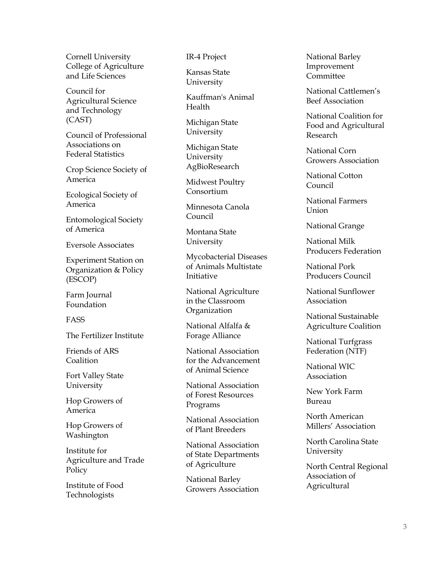Cornell University College of Agriculture and Life Sciences

Council for Agricultural Science and Technology (CAST)

Council of Professional Associations on Federal Statistics

Crop Science Society of America

Ecological Society of America

Entomological Society of America

Eversole Associates

Experiment Station on Organization & Policy (ESCOP)

Farm Journal Foundation

FASS

The Fertilizer Institute

Friends of ARS Coalition

Fort Valley State University

Hop Growers of America

Hop Growers of Washington

Institute for Agriculture and Trade Policy

Institute of Food Technologists

IR -4 Project

Kansas State University

Kauffman's Animal Health

Michigan State University

Michigan State University AgBioResearch

Midwest Poultry Consortium

Minnesota Canola Council

Montana State University

Mycobacterial Diseases of Animals Multistate Initiative

National Agriculture in the Classroom **Organization** 

National Alfalfa & Forage Alliance

National Association for the Advancement of Animal Science

National Association of Forest Resources Programs

National Association of Plant Breeders

National Association of State Departments of Agriculture

National Barley Growers Association National Barley Improvement Committee

National Cattlemen's Beef Association

National Coalition for Food and Agricultural Research

National Corn Growers Association

National Cotton Council

National Farmers Union

National Grange

National Milk Producers Federation

National Pork Producers Council

National Sunflower Association

National Sustainable Agriculture Coalition

National Turfgrass Federation (NTF)

National WIC Association

New York Farm Bureau

North American Millers' Association

North Carolina State University

North Central Regional Association of Agricultural